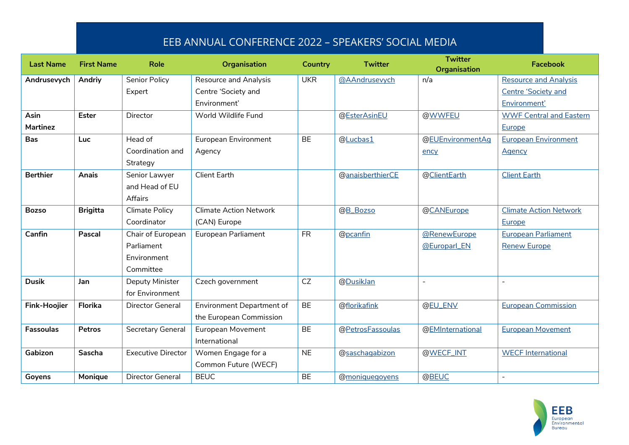## EEB ANNUAL CONFERENCE 2022 – SPEAKERS' SOCIAL MEDIA

| <b>Last Name</b>    | <b>First Name</b> | Role                      | <b>Organisation</b>           | <b>Country</b> | <b>Twitter</b>   | <b>Twitter</b><br><b>Organisation</b> | <b>Facebook</b>                |
|---------------------|-------------------|---------------------------|-------------------------------|----------------|------------------|---------------------------------------|--------------------------------|
| Andrusevych         | Andriy            | <b>Senior Policy</b>      | <b>Resource and Analysis</b>  | <b>UKR</b>     | @AAndrusevych    | n/a                                   | <b>Resource and Analysis</b>   |
|                     |                   | Expert                    | Centre 'Society and           |                |                  |                                       | Centre 'Society and            |
|                     |                   |                           | Environment'                  |                |                  |                                       | Environment'                   |
| Asin                | <b>Ester</b>      | Director                  | World Wildlife Fund           |                | @EsterAsinEU     | @WWFEU                                | <b>WWF Central and Eastern</b> |
| Martinez            |                   |                           |                               |                |                  |                                       | Europe                         |
| <b>Bas</b>          | <b>Luc</b>        | Head of                   | European Environment          | <b>BE</b>      | @Lucbas1         | @EUEnvironmentAq                      | <b>European Environment</b>    |
|                     |                   | Coordination and          | Agency                        |                |                  | ency                                  | Agency                         |
|                     |                   | Strategy                  |                               |                |                  |                                       |                                |
| <b>Berthier</b>     | Anais             | Senior Lawyer             | <b>Client Earth</b>           |                | @anaisberthierCE | @ClientEarth                          | <b>Client Earth</b>            |
|                     |                   | and Head of EU            |                               |                |                  |                                       |                                |
|                     |                   | Affairs                   |                               |                |                  |                                       |                                |
| <b>Bozso</b>        | <b>Brigitta</b>   | Climate Policy            | <b>Climate Action Network</b> |                | @B_Bozso         | @CANEurope                            | <b>Climate Action Network</b>  |
|                     |                   | Coordinator               | (CAN) Europe                  |                |                  |                                       | Europe                         |
| Canfin              | Pascal            | Chair of European         | European Parliament           | <b>FR</b>      | @pcanfin         | @RenewEurope                          | <b>European Parliament</b>     |
|                     |                   | Parliament                |                               |                |                  | @Europarl_EN                          | <b>Renew Europe</b>            |
|                     |                   | Environment               |                               |                |                  |                                       |                                |
|                     |                   | Committee                 |                               |                |                  |                                       |                                |
| <b>Dusik</b>        | Jan               | Deputy Minister           | Czech government              | CZ             | @DusikJan        | $\overline{a}$                        | $\overline{a}$                 |
|                     |                   | for Environment           |                               |                |                  |                                       |                                |
| <b>Fink-Hoojier</b> | Florika           | Director General          | Environment Department of     | <b>BE</b>      | @florikafink     | @EU_ENV                               | <b>European Commission</b>     |
|                     |                   |                           | the European Commission       |                |                  |                                       |                                |
| <b>Fassoulas</b>    | <b>Petros</b>     | Secretary General         | European Movement             | <b>BE</b>      | @PetrosFassoulas | @EMInternational                      | <b>European Movement</b>       |
|                     |                   |                           | International                 |                |                  |                                       |                                |
| Gabizon             | Sascha            | <b>Executive Director</b> | Women Engage for a            | <b>NE</b>      | @saschagabizon   | @WECF_INT                             | <b>WECF International</b>      |
|                     |                   |                           | Common Future (WECF)          |                |                  |                                       |                                |
| Goyens              | Monique           | <b>Director General</b>   | <b>BEUC</b>                   | <b>BE</b>      | @moniquegoyens   | @BEUC                                 |                                |

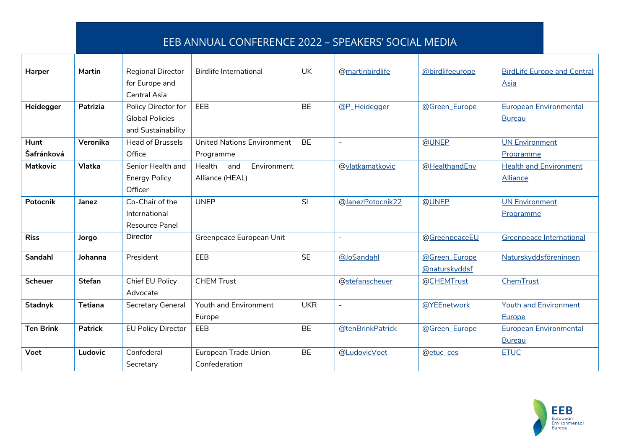## EEB ANNUAL CONFERENCE 2022 – SPEAKERS' SOCIAL MEDIA

| Harper           | <b>Martin</b>  | <b>Regional Director</b>  | <b>Birdlife International</b> | <b>UK</b>  | @martinbirdlife          | @birdlifeeurope | <b>BirdLife Europe and Central</b> |
|------------------|----------------|---------------------------|-------------------------------|------------|--------------------------|-----------------|------------------------------------|
|                  |                | for Europe and            |                               |            |                          |                 | Asia                               |
|                  |                | <b>Central Asia</b>       |                               |            |                          |                 |                                    |
| Heidegger        | Patrizia       | Policy Director for       | EEB                           | <b>BE</b>  | @P_Heidegger             | @Green_Europe   | <b>European Environmental</b>      |
|                  |                | <b>Global Policies</b>    |                               |            |                          |                 | <b>Bureau</b>                      |
|                  |                | and Sustainability        |                               |            |                          |                 |                                    |
| Hunt             | Veronika       | <b>Head of Brussels</b>   | United Nations Environment    | <b>BE</b>  | $\overline{\phantom{a}}$ | @UNEP           | <b>UN Environment</b>              |
| Šafránková       |                | Office                    | Programme                     |            |                          |                 | Programme                          |
| <b>Matkovic</b>  | <b>Vlatka</b>  | Senior Health and         | Environment<br>Health<br>and  |            | @vlatkamatkovic          | @HealthandEnv   | <b>Health and Environment</b>      |
|                  |                | <b>Energy Policy</b>      | Alliance (HEAL)               |            |                          |                 | <b>Alliance</b>                    |
|                  |                | Officer                   |                               |            |                          |                 |                                    |
| <b>Potocnik</b>  | Janez          | Co-Chair of the           | <b>UNEP</b>                   | SI         | @JanezPotocnik22         | @UNEP           | <b>UN Environment</b>              |
|                  |                | International             |                               |            |                          |                 | Programme                          |
|                  |                | Resource Panel            |                               |            |                          |                 |                                    |
| <b>Riss</b>      | Jorgo          | Director                  | Greenpeace European Unit      |            | $\overline{a}$           | @GreenpeaceEU   | Greenpeace International           |
| <b>Sandahl</b>   | Johanna        | President                 | EEB                           | <b>SE</b>  | @JoSandahl               | @Green_Europe   | Naturskyddsföreningen              |
|                  |                |                           |                               |            |                          | @naturskyddsf   |                                    |
| <b>Scheuer</b>   | <b>Stefan</b>  | Chief EU Policy           | <b>CHEM Trust</b>             |            | @stefanscheuer           | @CHEMTrust      | ChemTrust                          |
|                  |                | Advocate                  |                               |            |                          |                 |                                    |
| Stadnyk          | <b>Tetiana</b> | Secretary General         | Youth and Environment         | <b>UKR</b> | $\overline{a}$           | @YEEnetwork     | <b>Youth and Environment</b>       |
|                  |                |                           | Europe                        |            |                          |                 | Europe                             |
| <b>Ten Brink</b> | <b>Patrick</b> | <b>EU Policy Director</b> | EEB                           | <b>BE</b>  | @tenBrinkPatrick         | @Green_Europe   | <b>European Environmental</b>      |
|                  |                |                           |                               |            |                          |                 | <b>Bureau</b>                      |
| Voet             | Ludovic        | Confederal                | European Trade Union          | <b>BE</b>  | @LudovicVoet             | @etuc_ces       | <b>ETUC</b>                        |
|                  |                | Secretary                 | Confederation                 |            |                          |                 |                                    |